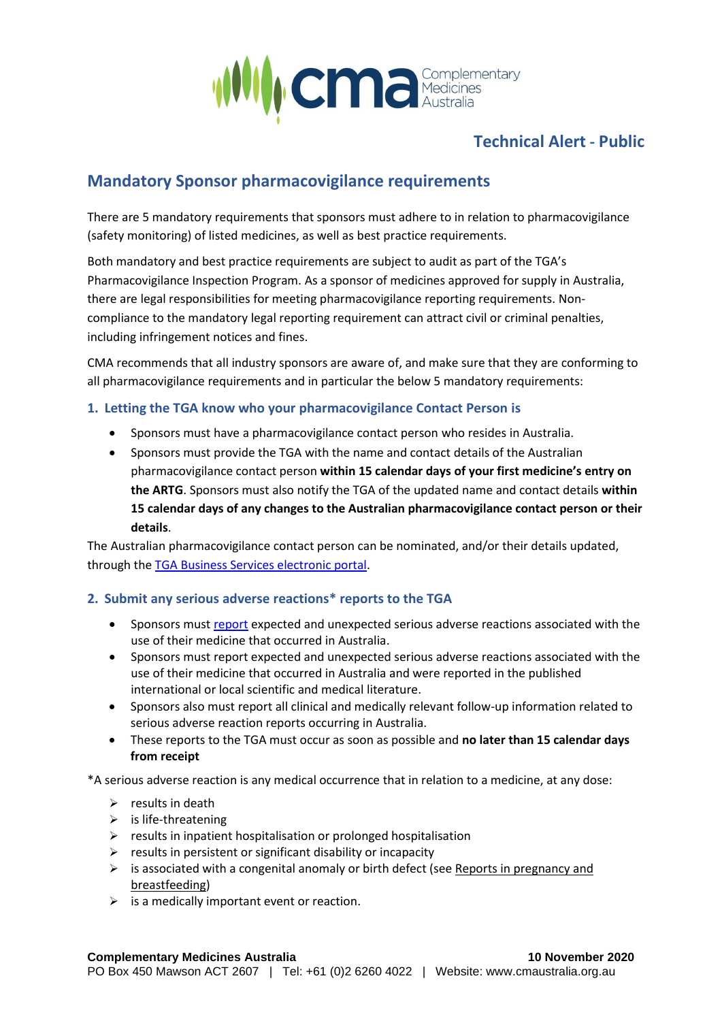

## **Technical Alert - Public**

# **Mandatory Sponsor pharmacovigilance requirements**

There are 5 mandatory requirements that sponsors must adhere to in relation to pharmacovigilance (safety monitoring) of listed medicines, as well as best practice requirements.

Both mandatory and best practice requirements are subject to audit as part of the TGA's Pharmacovigilance Inspection Program. As a sponsor of medicines approved for supply in Australia, there are legal responsibilities for meeting pharmacovigilance reporting requirements. Noncompliance to the mandatory legal reporting requirement can attract civil or criminal penalties, including infringement notices and fines.

CMA recommends that all industry sponsors are aware of, and make sure that they are conforming to all pharmacovigilance requirements and in particular the below 5 mandatory requirements:

### **1. Letting the TGA know who your pharmacovigilance Contact Person is**

- Sponsors must have a pharmacovigilance contact person who resides in Australia.
- Sponsors must provide the TGA with the name and contact details of the Australian pharmacovigilance contact person **within 15 calendar days of your first medicine's entry on the ARTG**. Sponsors must also notify the TGA of the updated name and contact details **within 15 calendar days of any changes to the Australian pharmacovigilance contact person or their details**.

The Australian pharmacovigilance contact person can be nominated, and/or their details updated, through the [TGA Business Services electronic portal.](https://www.tga.gov.au/tga-business-services)

## **2. Submit any serious adverse reactions\* reports to the TGA**

- Sponsors must [report](mailto::%20adr.reports@health.gov.au) expected and unexpected serious adverse reactions associated with the use of their medicine that occurred in Australia.
- Sponsors must report expected and unexpected serious adverse reactions associated with the use of their medicine that occurred in Australia and were reported in the published international or local scientific and medical literature.
- Sponsors also must report all clinical and medically relevant follow-up information related to serious adverse reaction reports occurring in Australia.
- These reports to the TGA must occur as soon as possible and **no later than 15 calendar days from receipt**

\*A serious adverse reaction is any medical occurrence that in relation to a medicine, at any dose:

- $\triangleright$  results in death
- $\triangleright$  is life-threatening
- ➢ results in inpatient hospitalisation or prolonged hospitalisation
- $\triangleright$  results in persistent or significant disability or incapacity
- $\triangleright$  is associated with a congenital anomaly or birth defect (see Reports in pregnancy and [breastfeeding\)](https://www.tga.gov.au/book-page/your-regulatory-reporting-requirements#special-pregnancy)
- $\triangleright$  is a medically important event or reaction.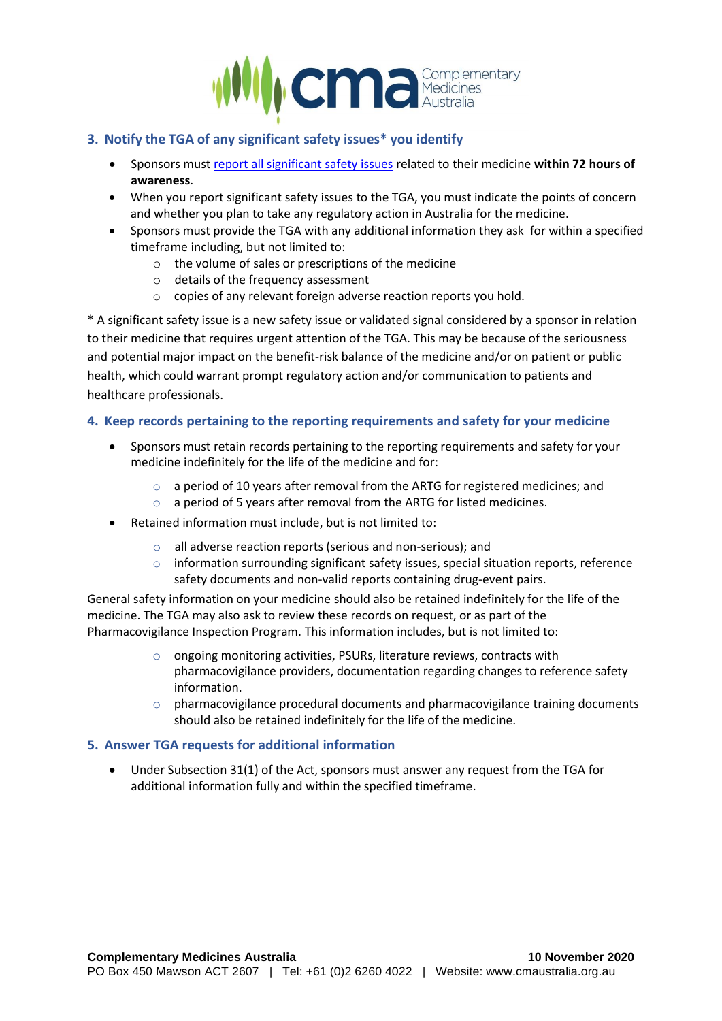

## **3. Notify the TGA of any significant safety issues\* you identify**

- Sponsors must [report all significant safety issues](mailto:si.coordinator@health.gov.au) related to their medicine **within 72 hours of awareness**.
- When you report significant safety issues to the TGA, you must indicate the points of concern and whether you plan to take any regulatory action in Australia for the medicine.
- Sponsors must provide the TGA with any additional information they ask for within a specified timeframe including, but not limited to:
	- o the volume of sales or prescriptions of the medicine
	- o details of the frequency assessment
	- o copies of any relevant foreign adverse reaction reports you hold.

\* A significant safety issue is a new safety issue or validated signal considered by a sponsor in relation to their medicine that requires urgent attention of the TGA. This may be because of the seriousness and potential major impact on the benefit-risk balance of the medicine and/or on patient or public health, which could warrant prompt regulatory action and/or communication to patients and healthcare professionals.

### **4. Keep records pertaining to the reporting requirements and safety for your medicine**

- Sponsors must retain records pertaining to the reporting requirements and safety for your medicine indefinitely for the life of the medicine and for:
	- $\circ$  a period of 10 years after removal from the ARTG for registered medicines; and
	- o a period of 5 years after removal from the ARTG for listed medicines.
- Retained information must include, but is not limited to:
	- o all adverse reaction reports (serious and non-serious); and
	- o information surrounding significant safety issues, special situation reports, reference safety documents and non-valid reports containing drug-event pairs.

General safety information on your medicine should also be retained indefinitely for the life of the medicine. The TGA may also ask to review these records on request, or as part of the Pharmacovigilance Inspection Program. This information includes, but is not limited to:

- o ongoing monitoring activities, PSURs, literature reviews, contracts with pharmacovigilance providers, documentation regarding changes to reference safety information.
- $\circ$  pharmacovigilance procedural documents and pharmacovigilance training documents should also be retained indefinitely for the life of the medicine.

#### **5. Answer TGA requests for additional information**

• Under Subsection 31(1) of the Act, sponsors must answer any request from the TGA for additional information fully and within the specified timeframe.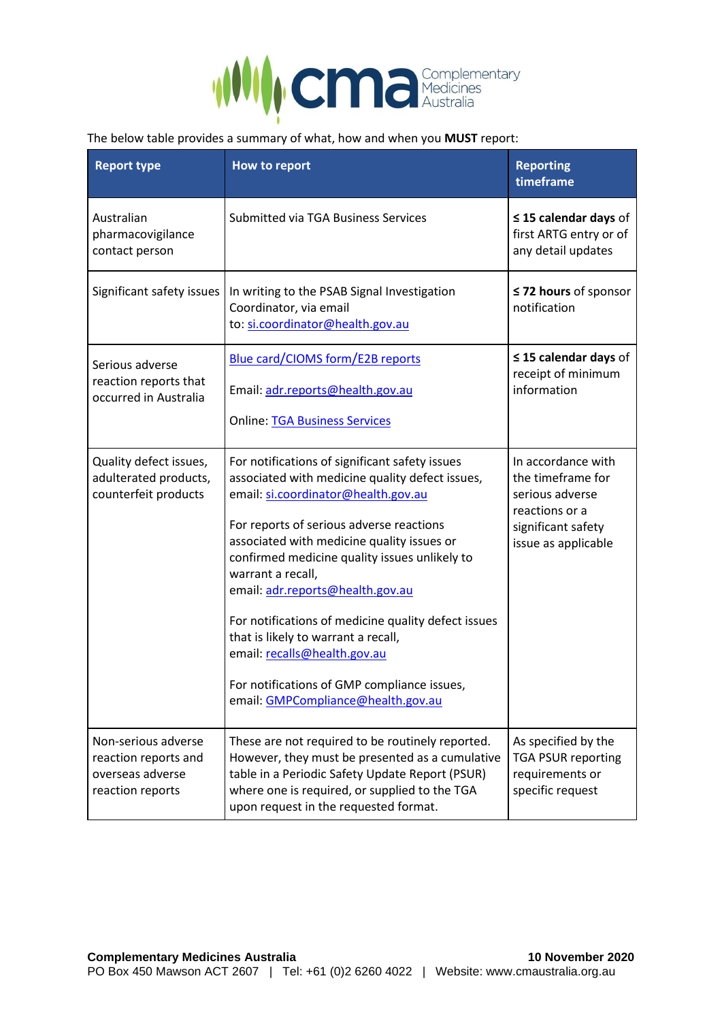

#### The below table provides a summary of what, how and when you **MUST** report:

| <b>Report type</b>                                                                  | How to report                                                                                                                                                                                                                                                                                                                                                                                                                                                                                                                                                   | <b>Reporting</b><br>timeframe                                                                                             |
|-------------------------------------------------------------------------------------|-----------------------------------------------------------------------------------------------------------------------------------------------------------------------------------------------------------------------------------------------------------------------------------------------------------------------------------------------------------------------------------------------------------------------------------------------------------------------------------------------------------------------------------------------------------------|---------------------------------------------------------------------------------------------------------------------------|
| Australian<br>pharmacovigilance<br>contact person                                   | Submitted via TGA Business Services                                                                                                                                                                                                                                                                                                                                                                                                                                                                                                                             | $\leq$ 15 calendar days of<br>first ARTG entry or of<br>any detail updates                                                |
| Significant safety issues                                                           | In writing to the PSAB Signal Investigation<br>Coordinator, via email<br>to: si.coordinator@health.gov.au                                                                                                                                                                                                                                                                                                                                                                                                                                                       | ≤ 72 hours of sponsor<br>notification                                                                                     |
| Serious adverse<br>reaction reports that<br>occurred in Australia                   | <b>Blue card/CIOMS form/E2B reports</b><br>Email: adr.reports@health.gov.au<br><b>Online: TGA Business Services</b>                                                                                                                                                                                                                                                                                                                                                                                                                                             | $\leq$ 15 calendar days of<br>receipt of minimum<br>information                                                           |
| Quality defect issues,<br>adulterated products,<br>counterfeit products             | For notifications of significant safety issues<br>associated with medicine quality defect issues,<br>email: si.coordinator@health.gov.au<br>For reports of serious adverse reactions<br>associated with medicine quality issues or<br>confirmed medicine quality issues unlikely to<br>warrant a recall,<br>email: adr.reports@health.gov.au<br>For notifications of medicine quality defect issues<br>that is likely to warrant a recall,<br>email: recalls@health.gov.au<br>For notifications of GMP compliance issues,<br>email: GMPCompliance@health.gov.au | In accordance with<br>the timeframe for<br>serious adverse<br>reactions or a<br>significant safety<br>issue as applicable |
| Non-serious adverse<br>reaction reports and<br>overseas adverse<br>reaction reports | These are not required to be routinely reported.<br>However, they must be presented as a cumulative<br>table in a Periodic Safety Update Report (PSUR)<br>where one is required, or supplied to the TGA<br>upon request in the requested format.                                                                                                                                                                                                                                                                                                                | As specified by the<br><b>TGA PSUR reporting</b><br>requirements or<br>specific request                                   |